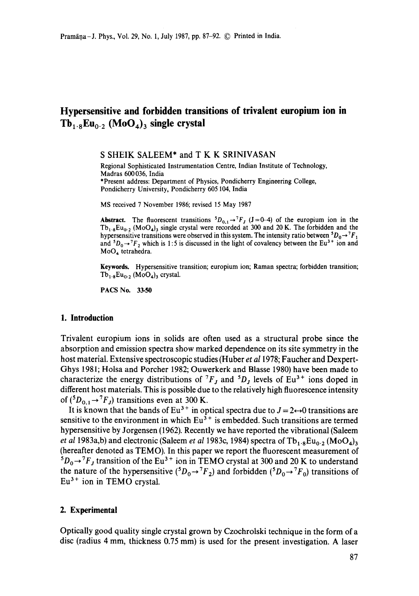# **Hypersensitive and forbidden transitions of trivalent europium ion in**   $Tb_{1.8}Eu_{0.2}$  (MoO<sub>4</sub>)<sub>3</sub> single crystal

S SHEIK SALEEM\* and T K K SRINIVASAN

Regional Sophisticated Instrumentation Centre, Indian Institute of Technology, Madras 600036, India \*Present address: Department of Physics, Pondicherry Engineering College, Pondicherry University, Pondicherry 605 104, India

MS received 7 November 1986; revised 15 May 1987

**Abstract.** The fluorescent transitions  ${}^5D_{0,1} \rightarrow {}^7F_J$  (J=0-4) of the europium ion in the  $Tb_{1.8}Eu_{0.2}$  (MoO<sub>4</sub>)<sub>3</sub> single crystal were recorded at 300 and 20 K. The forbidden and the hypersensitive transitions were observed in this system. The intensity ratio between  ${}^3D_0 \rightarrow {}^7F_1$ and  $D_0 \rightarrow T_2$  which is 1:5 is discussed in the light of covalency between the Eu<sup>3+</sup> ion and MoO4 tetrahedra.

**Keywords.** Hypersensitive transition; europium ion; Raman spectra; forbidden transition;  $Tb_{1.8}Eu_{0.2}$  (MoO<sub>4</sub>)<sub>3</sub> crystal.

PACS No. 33.50

#### **1. Introduction**

Trivalent europium ions in solids are often used as a structural probe since the absorption and emission spectra show marked dependence on its site symmetry in the host material. Extensive spectroscopic studies (Huber *et a11978;* Faucher and Dexpert-Ghys 1981; Holsa and Porcher 1982; Ouwerkerk and Blasse 1980) have been made to characterize the energy distributions of  ${}^{7}F_J$  and  ${}^{5}D_J$  levels of Eu<sup>3+</sup> ions doped in different host materials. This is possible due to the relatively high fluorescence intensity of  $({}^5D_{0,1}$   $\rightarrow {}^7F_J)$  transitions even at 300 K.

It is known that the bands of Eu<sup>3+</sup> in optical spectra due to  $J = 2 \rightarrow 0$  transitions are sensitive to the environment in which  $Eu^{3+}$  is embedded. Such transitions are termed hypersensitive by Jorgensen (1962). Recently we have reported the vibrational (Saleem *et al* 1983a,b) and electronic (Saleem *et al* 1983c, 1984) spectra of  $Tb_{1.8}Eu_{0.2} (MOQ_4)$ (hereafter denoted as TEMO). In this paper we report the fluorescent measurement of  $5D_0 \rightarrow {}^7F_J$  transition of the Eu<sup>3+</sup> ion in TEMO crystal at 300 and 20 K to understand the nature of the hypersensitive ( ${}^5D_0 \rightarrow {}^7F_2$ ) and forbidden ( ${}^5D_0 \rightarrow {}^7F_0$ ) transitions of  $Eu<sup>3+</sup>$  ion in TEMO crystal.

## **2. Experimental**

Optically good quality single crystal grown by Czochrolski technique in the form of a disc (radius 4 mm, thickness 0.75 mm) is used for the present investigation. A laser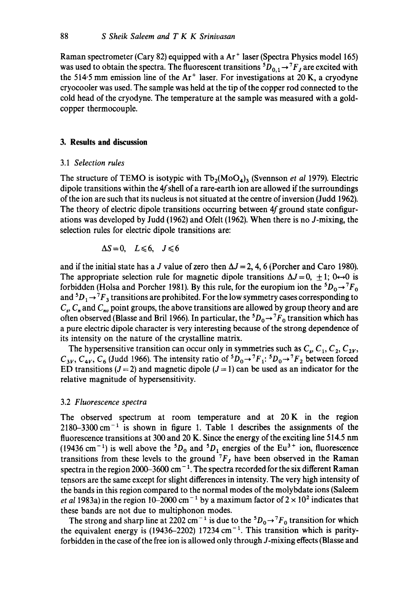Raman spectrometer (Cary 82) equipped with a Ar ÷ laser (Spectra Physics model 165) was used to obtain the spectra. The fluorescent transitions  ${}^5D_{0,1} \rightarrow {}^7F_J$  are excited with the 514.5 mm emission line of the  $Ar^+$  laser. For investigations at 20 K, a cryodyne cryocooler was used. The sample was held at the tip of the copper rod connected to the cold head of the cryodyne. The temperature at the sample was measured with a goldcopper thermocouple.

# **3. Results and discussion**

## 3.1 *Selection rules*

The structure of TEMO is isotypic with  $Tb_2(MoO_4)$ <sub>3</sub> (Svennson *et al 1979*). Electric dipole transitions within the  $4f$  shell of a rare-earth ion are allowed if the surroundings of the ion are such that its nucleus is not situated at the centre of inversion (Judd 1962). The theory of electric dipole transitions occurring between  $4f$  ground state configurations was developed by Judd (1962) and Ofelt (1962). When there is no J-mixing, the selection rules for electric dipole transitions are:

$$
\Delta S = 0, \quad L \leq 6, \quad J \leq 6
$$

and if the initial state has a J value of zero then  $\Delta J = 2$ , 4, 6 (Porcher and Caro 1980). The appropriate selection rule for magnetic dipole transitions  $\Delta J = 0, \pm 1$ ; 0 $\leftrightarrow$ 0 is forbidden (Holsa and Porcher 1981). By this rule, for the europium ion the  ${}^5D_0 \rightarrow {}^7F_0$ and  ${}^5D_1 \rightarrow {}^7F_3$  transitions are prohibited. For the low symmetry cases corresponding to  $C_s$ ,  $C_n$  and  $C_{nv}$  point groups, the above transitions are allowed by group theory and are often observed (Blasse and Bril 1966). In particular, the  ${}^5D_0 \rightarrow {}^7F_0$  transition which has a pure electric dipole character is very interesting because of the strong dependence of its intensity on the nature of the crystalline matrix.

The hypersensitive transition can occur only in symmetries such as  $C_s$ ,  $C_1$ ,  $C_2$ ,  $C_{2V}$ ,  $C_{3V}$ ,  $C_{4V}$ ,  $C_6$  (Judd 1966). The intensity ratio of  ${}^5D_0 \rightarrow {}^7F_1$ :  ${}^5D_0 \rightarrow {}^7F_2$  between forced ED transitions ( $J = 2$ ) and magnetic dipole ( $J = 1$ ) can be used as an indicator for the relative magnitude of hypersensitivity.

## 3.2 *Fluorescence spectra*

The observed spectrum at room temperature and at 20K in the region  $2180-3300$  cm<sup> $-1$ </sup> is shown in figure 1. Table 1 describes the assignments of the fluorescence transitions at 300 and 20 K. Since the energy of the exciting line 514.5 nm (19436 cm<sup>-1</sup>) is well above the <sup>5</sup> $D_0$  and <sup>5</sup> $D_1$  energies of the Eu<sup>3+</sup> ion, fluorescence transitions from these levels to the ground  $^{7}F_J$  have been observed in the Raman spectra in the region 2000-3600 cm<sup>-1</sup>. The spectra recorded for the six different Raman tensors are the same except for slight differences in intensity. The very high intensity of the bands in this region compared to the normal modes of the molybdate ions (Saleem *et al* 1983a) in the region 10–2000 cm<sup>-1</sup> by a maximum factor of  $2 \times 10^2$  indicates that these bands are not due to multiphonon modes.

The strong and sharp line at 2202 cm<sup>-1</sup> is due to the  ${}^5D_0 \rightarrow {}^7F_0$  transition for which the equivalent energy is (19436-2202) 17234  $cm^{-1}$ . This transition which is parityforbidden in the case of the free ion is allowed only through J-mixing effects (Blasse and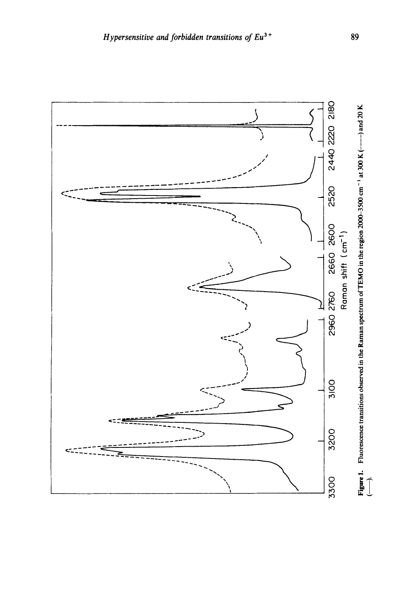

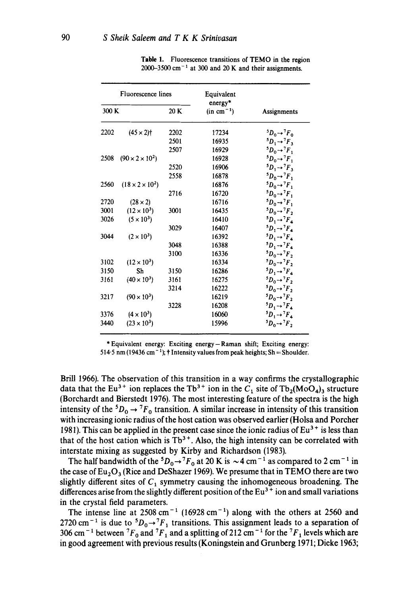| <b>Fluorescence</b> lines |                             |      | Equivalent<br>energy* |                               |
|---------------------------|-----------------------------|------|-----------------------|-------------------------------|
| 300 K                     |                             | 20 K | $(in cm-1)$           | Assignments                   |
| 2202                      | $(45 \times 2)$ †           | 2202 | 17234                 | ${}^5D_0 \rightarrow {}^7F_0$ |
|                           |                             | 2501 | 16935                 | ${}^5D_1 \rightarrow {}^7F_3$ |
|                           |                             | 2507 | 16929                 | ${}^5D_0 \rightarrow {}^7F_1$ |
| 2508                      | $(90 \times 2 \times 10^2)$ |      | 16928                 | ${}^5D_0 \rightarrow {}^7F_1$ |
|                           |                             | 2520 | 16906                 | ${}^5D_1 \rightarrow {}^7F_3$ |
|                           |                             | 2558 | 16878                 | ${}^5D_0 \rightarrow {}^7F_1$ |
| 2560                      | $(18 \times 2 \times 10^2)$ |      | 16876                 | ${}^5D_0 \rightarrow {}^7F_1$ |
|                           |                             | 2716 | 16720                 | ${}^5D_0 \rightarrow {}^7F_1$ |
| 2720                      | $(28 \times 2)$             |      | 16716                 | ${}^5D_0 \rightarrow {}^7F_1$ |
| 3001                      | $(12 \times 10^3)$          | 3001 | 16435                 | ${}^5D_0 \rightarrow {}^7F_2$ |
| 3026                      | $(5 \times 10^3)$           |      | 16410                 | ${}^5D_1 \rightarrow {}^7F_4$ |
|                           |                             | 3029 | 16407                 | ${}^5D_1 \rightarrow {}^7F_4$ |
| 3044                      | $(2 \times 10^3)$           |      | 16392                 | ${}^5D_1 \rightarrow {}^7F_4$ |
|                           |                             | 3048 | 16388                 | ${}^5D_1 \rightarrow {}^7F_4$ |
|                           |                             | 3100 | 16336                 | ${}^5D_0 \rightarrow {}^7F_2$ |
| 3102                      | $(12 \times 10^3)$          |      | 16334                 | ${}^5D_0 \rightarrow {}^7F_2$ |
| 3150                      | Sh                          | 3150 | 16286                 | ${}^5D_1 \rightarrow {}^7F_4$ |
| 3161                      | $(40 \times 10^3)$          | 3161 | 16275                 | ${}^5D_0 \rightarrow {}^7F_2$ |
|                           |                             | 3214 | 16222                 | ${}^5D_0 \rightarrow {}^7F_2$ |
| 3217                      | $(90 \times 10^3)$          |      | 16219                 | ${}^5D_0 \rightarrow {}^7F_2$ |
|                           |                             | 3228 | 16208                 | ${}^5D_1 \rightarrow {}^7F_4$ |
| 3376                      | $(4 \times 10^3)$           |      | 16060                 | ${}^5D_1 \rightarrow {}^7F_4$ |
| 3440                      | $(23 \times 10^3)$          |      | 15996                 | ${}^5D_0 \rightarrow {}^7F_2$ |

**Table l. Fluorescence transitions of TEMO in the region**   $2000-3500$  cm<sup>-1</sup> at 300 and 20 K and their assignments.

**\* Equivalent energy: Exciting energy-Raman shift; Exciting energy:**  514.5 nm (19436 cm<sup>-1</sup>); † Intensity values from peak heights; Sh = Shoulder.

**Brill 1966). The observation of this transition in a way confirms the crystallographic**  data that the Eu<sup>3+</sup> ion replaces the Tb<sup>3+</sup> ion in the  $C_1$  site of Tb<sub>2</sub>(MoO<sub>4</sub>)<sub>3</sub> structure **(Borchardt and Bierstedt 1976). The most interesting feature of the spectra is the high**  intensity of the <sup>5</sup> $D_0 \rightarrow {}^7F_0$  transition. A similar increase in intensity of this transition **with increasing ionic radius of the host cation was observed earlier (Holsa and Porcher**  1981). This can be applied in the present case since the ionic radius of  $Eu<sup>3+</sup>$  is less than that of the host cation which is  $Tb^{3+}$ . Also, the high intensity can be correlated with **interstate mixing as suggested by Kirby and Richardson (1983).** 

The half bandwidth of the  ${}^5D_0 \rightarrow {}^7F_0$  at 20 K is  $\sim$  4 cm<sup>-1</sup> as compared to 2 cm<sup>-1</sup> in the case of  $Eu_2O_3$  (Rice and DeShazer 1969). We presume that in TEMO there are two slightly different sites of  $C_1$  symmetry causing the inhomogeneous broadening. The differences arise from the slightly different position of the Eu<sup>3+</sup> ion and small variations **in the crystal field parameters.** 

The intense line at  $2508 \text{ cm}^{-1}$   $(16928 \text{ cm}^{-1})$  along with the others at  $2560$  and 2720 cm<sup>-1</sup> is due to  ${}^5D_0 \rightarrow {}^7F_1$  transitions. This assignment leads to a separation of 306 cm<sup>-1</sup> between  ${}^{7}F_0$  and  ${}^{7}F_1$  and a splitting of 212 cm<sup>-1</sup> for the  ${}^{7}F_1$  levels which are **in good agreement with previous results (Koningstein and Grunberg 1971; Dieke 1963;**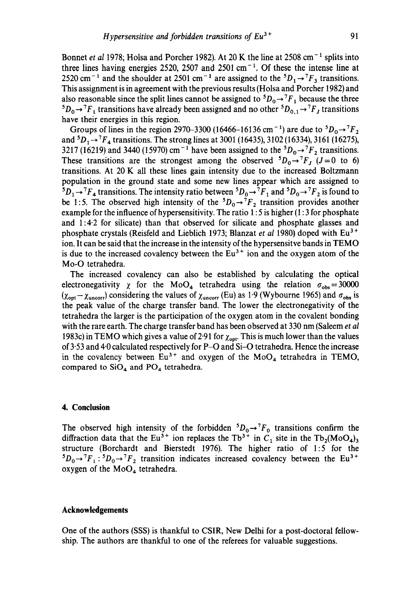Bonnet *et al* 1978; Holsa and Porcher 1982). At 20 K the line at 2508 cm<sup>-1</sup> splits into three lines having energies 2520, 2507 and 2501 cm<sup>-1</sup>. Of these the intense line at 2520 cm<sup>-1</sup> and the shoulder at 2501 cm<sup>-1</sup> are assigned to the  ${}^5D_1 \rightarrow {}^7F_3$  transitions. This assignment is in agreement with the previous results (Holsa and Porcher 1982) and also reasonable since the split lines cannot be assigned to  ${}^5D_0 \rightarrow {}^7F_1$  because the three  ${}^5D_0 \rightarrow {}^7F_1$  transitions have already been assigned and no other  ${}^5D_{0,1} \rightarrow {}^7F_J$  transitions have their energies in this region.

Groups of lines in the region 2970-3300 (16466-16136 cm<sup>-1</sup>) are due to  ${}^{5}D_{0} \rightarrow {}^{7}F_{2}$ and  ${}^5D_1 \rightarrow {}^7F_4$  transitions. The strong lines at 3001 (16435), 3102 (16334), 3161 (16275), 3217 (16219) and 3440 (15970) cm<sup>-1</sup> have been assigned to the  ${}^5D_0 \rightarrow {}^7F_2$  transitions. These transitions are the strongest among the observed  ${}^5D_0 \rightarrow {}^7F_1$  (J=0 to 6) transitions. At 20 K all these lines gain intensity due to the increased Boltzmann population in the ground state and some new lines appear which are assigned to  ${}^5D_1\rightarrow {}^7F_4$  transitions. The intensity ratio between  ${}^5D_0\rightarrow {}^7F_1$  and  ${}^5D_0\rightarrow {}^7F_2$  is found to be 1:5. The observed high intensity of the  ${}^5D_0 \rightarrow {}^7F_2$  transition provides another example for the influence of hypersensitivity. The ratio 1:5 is higher (1:3 for phosphate and  $1:4.2$  for silicate) than that observed for silicate and phosphate glasses and phosphate crystals (Reisfeld and Lieblich 1973; Blanzat *et al* 1980) doped with Eu<sup>3+</sup> ion. It can be said that the increase in the intensity of the hypersensitve bands in TEMO is due to the increased covalency between the  $Eu<sup>3+</sup>$  ion and the oxygen atom of the Mo-O tetrahedra.

The increased covalency can also be established by calculating the optical electronegativity  $\chi$  for the MoO<sub>4</sub> tetrahedra using the relation  $\sigma_{obs}=30000$ ( $\chi_{opt}-\chi_{uncorr}$ ) considering the values of  $\chi_{uncorr}$  (Eu) as 1.9 (Wybourne 1965) and  $\sigma_{obs}$  is the peak value of the charge transfer band. The lower the electronegativity of the tetrahedra the larger is the participation of the oxygen atom in the covalent bonding with the rare earth. The charge transfer band has been observed at 330 nm (Saleem *et al*  1983c) in TEMO which gives a value of 2.91 for  $\chi_{opt}$ . This is much lower than the values of  $3.53$  and  $4.0$  calculated respectively for P-O and Si-O tetrahedra. Hence the increase in the covalency between  $Eu^{3+}$  and oxygen of the MoO<sub>4</sub> tetrahedra in TEMO, compared to  $SiO<sub>4</sub>$  and  $PO<sub>4</sub>$  tetrahedra.

# **4. Conclusion**

The observed high intensity of the forbidden  ${}^5D_0 \rightarrow {}^7F_0$  transitions confirm the diffraction data that the Eu<sup>3+</sup> ion replaces the Tb<sup>3+</sup> in C<sub>1</sub> site in the Tb<sub>2</sub>(MoO<sub>4</sub>)<sub>3</sub> structure (Borchardt and Bierstedt 1976). The higher ratio of 1:5 for the  ${}^5D_0 \rightarrow {}^7F_1$ :  ${}^5D_0 \rightarrow {}^7F_2$  transition indicates increased covalency between the Eu<sup>3+</sup> oxygen of the  $MoO<sub>4</sub>$  tetrahedra.

## **Acknowledgements**

One of the authors (SSS) is thankful to CSIR, New Delhi for a post-doctoral fellowship. The authors are thankful to one of the referees for valuable suggestions.